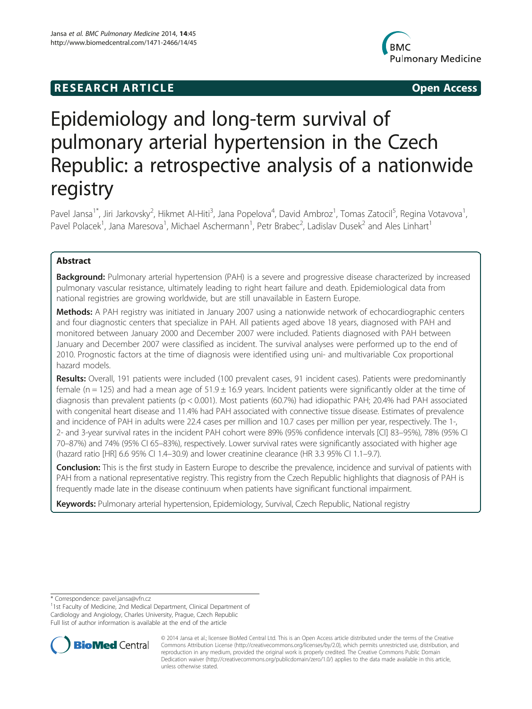# **RESEARCH ARTICLE Example 2014 12:25 Open Access**



# Epidemiology and long-term survival of pulmonary arterial hypertension in the Czech Republic: a retrospective analysis of a nationwide registry

Pavel Jansa<sup>1\*</sup>, Jiri Jarkovsky<sup>2</sup>, Hikmet Al-Hiti<sup>3</sup>, Jana Popelova<sup>4</sup>, David Ambroz<sup>1</sup>, Tomas Zatocil<sup>5</sup>, Regina Votavova<sup>1</sup> , Pavel Polacek<sup>1</sup>, Jana Maresova<sup>1</sup>, Michael Aschermann<sup>1</sup>, Petr Brabec<sup>2</sup>, Ladislav Dusek<sup>2</sup> and Ales Linhart<sup>1</sup>

# Abstract

Background: Pulmonary arterial hypertension (PAH) is a severe and progressive disease characterized by increased pulmonary vascular resistance, ultimately leading to right heart failure and death. Epidemiological data from national registries are growing worldwide, but are still unavailable in Eastern Europe.

Methods: A PAH registry was initiated in January 2007 using a nationwide network of echocardiographic centers and four diagnostic centers that specialize in PAH. All patients aged above 18 years, diagnosed with PAH and monitored between January 2000 and December 2007 were included. Patients diagnosed with PAH between January and December 2007 were classified as incident. The survival analyses were performed up to the end of 2010. Prognostic factors at the time of diagnosis were identified using uni- and multivariable Cox proportional hazard models.

Results: Overall, 191 patients were included (100 prevalent cases, 91 incident cases). Patients were predominantly female (n = 125) and had a mean age of  $51.9 \pm 16.9$  years. Incident patients were significantly older at the time of diagnosis than prevalent patients (p < 0.001). Most patients (60.7%) had idiopathic PAH; 20.4% had PAH associated with congenital heart disease and 11.4% had PAH associated with connective tissue disease. Estimates of prevalence and incidence of PAH in adults were 22.4 cases per million and 10.7 cases per million per year, respectively. The 1-, 2- and 3-year survival rates in the incident PAH cohort were 89% (95% confidence intervals [CI] 83–95%), 78% (95% CI 70–87%) and 74% (95% CI 65–83%), respectively. Lower survival rates were significantly associated with higher age (hazard ratio [HR] 6.6 95% CI 1.4–30.9) and lower creatinine clearance (HR 3.3 95% CI 1.1–9.7).

Conclusion: This is the first study in Eastern Europe to describe the prevalence, incidence and survival of patients with PAH from a national representative registry. This registry from the Czech Republic highlights that diagnosis of PAH is frequently made late in the disease continuum when patients have significant functional impairment.

Keywords: Pulmonary arterial hypertension, Epidemiology, Survival, Czech Republic, National registry

\* Correspondence: [pavel.jansa@vfn.cz](mailto:pavel.jansa@vfn.cz) <sup>1</sup>

<sup>1</sup>1st Faculty of Medicine, 2nd Medical Department, Clinical Department of Cardiology and Angiology, Charles University, Prague, Czech Republic Full list of author information is available at the end of the article



© 2014 Jansa et al.; licensee BioMed Central Ltd. This is an Open Access article distributed under the terms of the Creative Commons Attribution License [\(http://creativecommons.org/licenses/by/2.0\)](http://creativecommons.org/licenses/by/2.0), which permits unrestricted use, distribution, and reproduction in any medium, provided the original work is properly credited. The Creative Commons Public Domain Dedication waiver [\(http://creativecommons.org/publicdomain/zero/1.0/](http://creativecommons.org/publicdomain/zero/1.0/)) applies to the data made available in this article, unless otherwise stated.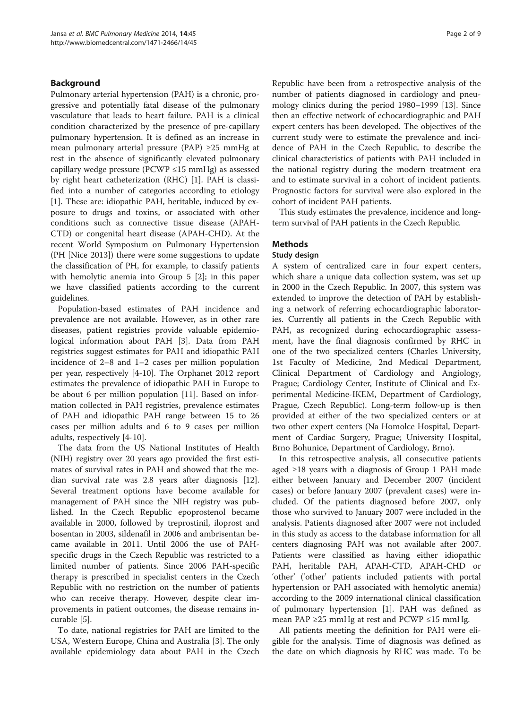# Background

Pulmonary arterial hypertension (PAH) is a chronic, progressive and potentially fatal disease of the pulmonary vasculature that leads to heart failure. PAH is a clinical condition characterized by the presence of pre-capillary pulmonary hypertension. It is defined as an increase in mean pulmonary arterial pressure (PAP) ≥25 mmHg at rest in the absence of significantly elevated pulmonary capillary wedge pressure (PCWP ≤15 mmHg) as assessed by right heart catheterization (RHC) [\[1](#page-8-0)]. PAH is classified into a number of categories according to etiology [[1\]](#page-8-0). These are: idiopathic PAH, heritable, induced by exposure to drugs and toxins, or associated with other conditions such as connective tissue disease (APAH-CTD) or congenital heart disease (APAH-CHD). At the recent World Symposium on Pulmonary Hypertension (PH [Nice 2013]) there were some suggestions to update the classification of PH, for example, to classify patients with hemolytic anemia into Group 5 [\[2](#page-8-0)]; in this paper we have classified patients according to the current guidelines.

Population-based estimates of PAH incidence and prevalence are not available. However, as in other rare diseases, patient registries provide valuable epidemiological information about PAH [[3\]](#page-8-0). Data from PAH registries suggest estimates for PAH and idiopathic PAH incidence of 2–8 and 1–2 cases per million population per year, respectively [[4-10](#page-8-0)]. The Orphanet 2012 report estimates the prevalence of idiopathic PAH in Europe to be about 6 per million population [[11](#page-8-0)]. Based on information collected in PAH registries, prevalence estimates of PAH and idiopathic PAH range between 15 to 26 cases per million adults and 6 to 9 cases per million adults, respectively [\[4](#page-8-0)-[10\]](#page-8-0).

The data from the US National Institutes of Health (NIH) registry over 20 years ago provided the first estimates of survival rates in PAH and showed that the median survival rate was 2.8 years after diagnosis [\[12](#page-8-0)]. Several treatment options have become available for management of PAH since the NIH registry was published. In the Czech Republic epoprostenol became available in 2000, followed by treprostinil, iloprost and bosentan in 2003, sildenafil in 2006 and ambrisentan became available in 2011. Until 2006 the use of PAHspecific drugs in the Czech Republic was restricted to a limited number of patients. Since 2006 PAH-specific therapy is prescribed in specialist centers in the Czech Republic with no restriction on the number of patients who can receive therapy. However, despite clear improvements in patient outcomes, the disease remains incurable [[5\]](#page-8-0).

To date, national registries for PAH are limited to the USA, Western Europe, China and Australia [[3\]](#page-8-0). The only available epidemiology data about PAH in the Czech

Republic have been from a retrospective analysis of the number of patients diagnosed in cardiology and pneumology clinics during the period 1980–1999 [[13\]](#page-8-0). Since then an effective network of echocardiographic and PAH expert centers has been developed. The objectives of the current study were to estimate the prevalence and incidence of PAH in the Czech Republic, to describe the clinical characteristics of patients with PAH included in the national registry during the modern treatment era and to estimate survival in a cohort of incident patients. Prognostic factors for survival were also explored in the cohort of incident PAH patients.

This study estimates the prevalence, incidence and longterm survival of PAH patients in the Czech Republic.

# Methods

# Study design

A system of centralized care in four expert centers, which share a unique data collection system, was set up in 2000 in the Czech Republic. In 2007, this system was extended to improve the detection of PAH by establishing a network of referring echocardiographic laboratories. Currently all patients in the Czech Republic with PAH, as recognized during echocardiographic assessment, have the final diagnosis confirmed by RHC in one of the two specialized centers (Charles University, 1st Faculty of Medicine, 2nd Medical Department, Clinical Department of Cardiology and Angiology, Prague; Cardiology Center, Institute of Clinical and Experimental Medicine-IKEM, Department of Cardiology, Prague, Czech Republic). Long-term follow-up is then provided at either of the two specialized centers or at two other expert centers (Na Homolce Hospital, Department of Cardiac Surgery, Prague; University Hospital, Brno Bohunice, Department of Cardiology, Brno).

In this retrospective analysis, all consecutive patients aged ≥18 years with a diagnosis of Group 1 PAH made either between January and December 2007 (incident cases) or before January 2007 (prevalent cases) were included. Of the patients diagnosed before 2007, only those who survived to January 2007 were included in the analysis. Patients diagnosed after 2007 were not included in this study as access to the database information for all centers diagnosing PAH was not available after 2007. Patients were classified as having either idiopathic PAH, heritable PAH, APAH-CTD, APAH-CHD or 'other' ('other' patients included patients with portal hypertension or PAH associated with hemolytic anemia) according to the 2009 international clinical classification of pulmonary hypertension [\[1](#page-8-0)]. PAH was defined as mean PAP ≥25 mmHg at rest and PCWP ≤15 mmHg.

All patients meeting the definition for PAH were eligible for the analysis. Time of diagnosis was defined as the date on which diagnosis by RHC was made. To be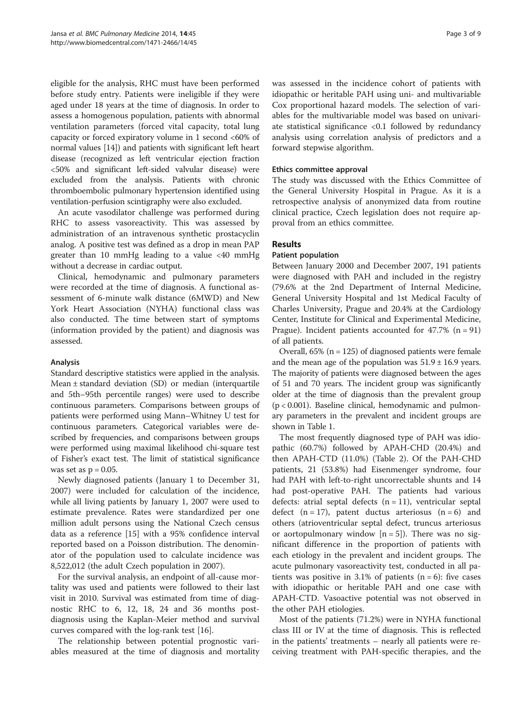eligible for the analysis, RHC must have been performed before study entry. Patients were ineligible if they were aged under 18 years at the time of diagnosis. In order to assess a homogenous population, patients with abnormal ventilation parameters (forced vital capacity, total lung capacity or forced expiratory volume in 1 second <60% of normal values [\[14\]](#page-8-0)) and patients with significant left heart disease (recognized as left ventricular ejection fraction <50% and significant left-sided valvular disease) were excluded from the analysis. Patients with chronic thromboembolic pulmonary hypertension identified using ventilation-perfusion scintigraphy were also excluded.

An acute vasodilator challenge was performed during RHC to assess vasoreactivity. This was assessed by administration of an intravenous synthetic prostacyclin analog. A positive test was defined as a drop in mean PAP greater than 10 mmHg leading to a value <40 mmHg without a decrease in cardiac output.

Clinical, hemodynamic and pulmonary parameters were recorded at the time of diagnosis. A functional assessment of 6-minute walk distance (6MWD) and New York Heart Association (NYHA) functional class was also conducted. The time between start of symptoms (information provided by the patient) and diagnosis was assessed.

# Analysis

Standard descriptive statistics were applied in the analysis. Mean ± standard deviation (SD) or median (interquartile and 5th–95th percentile ranges) were used to describe continuous parameters. Comparisons between groups of patients were performed using Mann–Whitney U test for continuous parameters. Categorical variables were described by frequencies, and comparisons between groups were performed using maximal likelihood chi-square test of Fisher's exact test. The limit of statistical significance was set as  $p = 0.05$ .

Newly diagnosed patients (January 1 to December 31, 2007) were included for calculation of the incidence, while all living patients by January 1, 2007 were used to estimate prevalence. Rates were standardized per one million adult persons using the National Czech census data as a reference [\[15](#page-8-0)] with a 95% confidence interval reported based on a Poisson distribution. The denominator of the population used to calculate incidence was 8,522,012 (the adult Czech population in 2007).

For the survival analysis, an endpoint of all-cause mortality was used and patients were followed to their last visit in 2010. Survival was estimated from time of diagnostic RHC to 6, 12, 18, 24 and 36 months postdiagnosis using the Kaplan-Meier method and survival curves compared with the log-rank test [\[16\]](#page-8-0).

The relationship between potential prognostic variables measured at the time of diagnosis and mortality

was assessed in the incidence cohort of patients with idiopathic or heritable PAH using uni- and multivariable Cox proportional hazard models. The selection of variables for the multivariable model was based on univariate statistical significance <0.1 followed by redundancy analysis using correlation analysis of predictors and a forward stepwise algorithm.

## Ethics committee approval

The study was discussed with the Ethics Committee of the General University Hospital in Prague. As it is a retrospective analysis of anonymized data from routine clinical practice, Czech legislation does not require approval from an ethics committee.

# Results

# Patient population

Between January 2000 and December 2007, 191 patients were diagnosed with PAH and included in the registry (79.6% at the 2nd Department of Internal Medicine, General University Hospital and 1st Medical Faculty of Charles University, Prague and 20.4% at the Cardiology Center, Institute for Clinical and Experimental Medicine, Prague). Incident patients accounted for  $47.7\%$  (n = 91) of all patients.

Overall,  $65\%$  (n = 125) of diagnosed patients were female and the mean age of the population was  $51.9 \pm 16.9$  years. The majority of patients were diagnosed between the ages of 51 and 70 years. The incident group was significantly older at the time of diagnosis than the prevalent group  $(p < 0.001)$ . Baseline clinical, hemodynamic and pulmonary parameters in the prevalent and incident groups are shown in Table [1.](#page-3-0)

The most frequently diagnosed type of PAH was idiopathic (60.7%) followed by APAH-CHD (20.4%) and then APAH-CTD (11.0%) (Table [2\)](#page-3-0). Of the PAH-CHD patients, 21 (53.8%) had Eisenmenger syndrome, four had PAH with left-to-right uncorrectable shunts and 14 had post-operative PAH. The patients had various defects: atrial septal defects  $(n = 11)$ , ventricular septal defect  $(n = 17)$ , patent ductus arteriosus  $(n = 6)$  and others (atrioventricular septal defect, truncus arteriosus or aortopulmonary window  $[n = 5]$ ). There was no significant difference in the proportion of patients with each etiology in the prevalent and incident groups. The acute pulmonary vasoreactivity test, conducted in all patients was positive in 3.1% of patients  $(n = 6)$ : five cases with idiopathic or heritable PAH and one case with APAH-CTD. Vasoactive potential was not observed in the other PAH etiologies.

Most of the patients (71.2%) were in NYHA functional class III or IV at the time of diagnosis. This is reflected in the patients' treatments – nearly all patients were receiving treatment with PAH-specific therapies, and the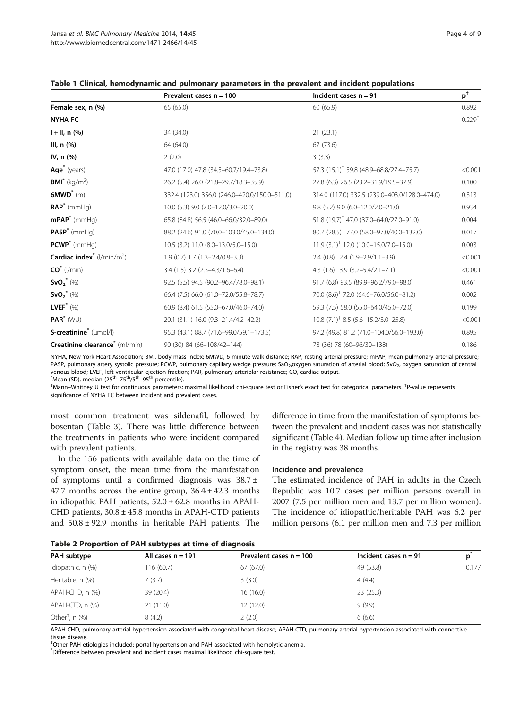|                                              | Prevalent cases $n = 100$                     | Incident cases $n = 91$                                       | $p^+$       |
|----------------------------------------------|-----------------------------------------------|---------------------------------------------------------------|-------------|
| Female sex, n (%)                            | 65 (65.0)                                     | 60 (65.9)                                                     | 0.892       |
| <b>NYHA FC</b>                               |                                               |                                                               | $0.229^{+}$ |
| $I + II, n$ (%)                              | 34 (34.0)                                     | 21(23.1)                                                      |             |
| III, $n$ $(\%)$                              | 64 (64.0)                                     | 67 (73.6)                                                     |             |
| IV, n (%)                                    | 2(2.0)                                        | 3(3.3)                                                        |             |
| Age <sup>*</sup> (years)                     | 47.0 (17.0) 47.8 (34.5-60.7/19.4-73.8)        | 57.3 (15.1) <sup>†</sup> 59.8 (48.9–68.8/27.4–75.7)           | < 0.001     |
| <b>BMI</b> <sup>*</sup> (kg/m <sup>2</sup> ) | 26.2 (5.4) 26.0 (21.8-29.7/18.3-35.9)         | 27.8 (6.3) 26.5 (23.2-31.9/19.5-37.9)                         | 0.100       |
| $6MWD^*$ (m)                                 | 332.4 (123.0) 356.0 (246.0-420.0/150.0-511.0) | 314.0 (117.0) 332.5 (239.0-403.0/128.0-474.0)                 | 0.313       |
| $RAP^*$ (mmHg)                               | 10.0 (5.3) 9.0 (7.0-12.0/3.0-20.0)            | 9.8 (5.2) 9.0 (6.0-12.0/2.0-21.0)                             | 0.934       |
| $mPAP^*$ (mmHg)                              | 65.8 (84.8) 56.5 (46.0-66.0/32.0-89.0)        | 51.8 $(19.7)^{\dagger}$ 47.0 $(37.0 - 64.0 / 27.0 - 91.0)$    | 0.004       |
| $PASP^*$ (mmHg)                              | 88.2 (24.6) 91.0 (70.0-103.0/45.0-134.0)      | 80.7 (28.5) <sup>†</sup> 77.0 (58.0–97.0/40.0–132.0)          | 0.017       |
| $PCWP^*$ (mmHg)                              | 10.5 (3.2) 11.0 (8.0-13.0/5.0-15.0)           | $11.9$ $(3.1)$ <sup>†</sup> 12.0 $(10.0 - 15.0)$ /7.0 - 15.0) | 0.003       |
| Cardiac index <sup>*</sup> ( $l/min/m2$ )    | $1.9(0.7)$ $1.7(1.3-2.4/0.8-3.3)$             | $2.4$ $(0.8)^{\dagger}$ 2.4 $(1.9 - 2.9/1.1 - 3.9)$           | < 0.001     |
| $CO^*$ (l/min)                               | $3.4$ (1.5) $3.2$ (2.3-4.3/1.6-6.4)           | 4.3 $(1.6)^{\dagger}$ 3.9 $(3.2 - 5.4/2.1 - 7.1)$             | < 0.001     |
| $SvO_2^*$ (%)                                | 92.5 (5.5) 94.5 (90.2-96.4/78.0-98.1)         | 91.7 (6.8) 93.5 (89.9-96.2/79.0-98.0)                         | 0.461       |
| $SvO_2^*$ (%)                                | 66.4 (7.5) 66.0 (61.0-72.0/55.8-78.7)         | 70.0 (8.6) <sup>†</sup> 72.0 (64.6–76.0/56.0–81.2)            | 0.002       |
| LVEF <sup>*</sup> $(\%)$                     | 60.9 (8.4) 61.5 (55.0-67.0/46.0-74.0)         | 59.3 (7.5) 58.0 (55.0-64.0/45.0-72.0)                         | 0.199       |
| $PAR^*$ (WU)                                 | 20.1 (31.1) 16.0 (9.3-21.4/4.2-42.2)          | $10.8$ (7.1) <sup>†</sup> 8.5 (5.6–15.2/3.0–25.8)             | < 0.001     |
| S-creatinine <sup>*</sup> (µmol/l)           | 95.3 (43.1) 88.7 (71.6-99.0/59.1-173.5)       | 97.2 (49.8) 81.2 (71.0-104.0/56.0-193.0)                      | 0.895       |
| Creatinine clearance <sup>*</sup> (ml/min)   | 90 (30) 84 (66-108/42-144)                    | 78 (36) 78 (60-96/30-138)                                     | 0.186       |

<span id="page-3-0"></span>Table 1 Clinical, hemodynamic and pulmonary parameters in the prevalent and incident populations

NYHA, New York Heart Association; BMI, body mass index; 6MWD, 6-minute walk distance; RAP, resting arterial pressure; mPAP, mean pulmonary arterial pressure; PASP, pulmonary artery systolic pressure; PCWP, pulmonary capillary wedge pressure; SaO<sub>2</sub>, oxygen saturation of arterial blood; SyO<sub>2</sub>, oxygen saturation of central venous blood; LVEF, left ventricular ejection fraction; PAR, pulmonary arteriolar resistance; CO, cardiac output.

\*Mean (SD), median (25<sup>th</sup>–75<sup>th</sup>/5<sup>th</sup>–95<sup>th</sup> percentile).<br><sup>†</sup>Mann, Whitnoy U tost for continuous parameters:

Mann–Whitney U test for continuous parameters; maximal likelihood chi-square test or Fisher's exact test for categorical parameters. <sup>‡</sup>P-value represents significance of NYHA FC between incident and prevalent cases.

most common treatment was sildenafil, followed by bosentan (Table [3](#page-4-0)). There was little difference between the treatments in patients who were incident compared with prevalent patients.

In the 156 patients with available data on the time of symptom onset, the mean time from the manifestation of symptoms until a confirmed diagnosis was 38.7 ± 47.7 months across the entire group,  $36.4 \pm 42.3$  months in idiopathic PAH patients,  $52.0 \pm 62.8$  months in APAH-CHD patients,  $30.8 \pm 45.8$  months in APAH-CTD patients and  $50.8 \pm 92.9$  months in heritable PAH patients. The

difference in time from the manifestation of symptoms between the prevalent and incident cases was not statistically significant (Table [4](#page-4-0)). Median follow up time after inclusion in the registry was 38 months.

#### Incidence and prevalence

The estimated incidence of PAH in adults in the Czech Republic was 10.7 cases per million persons overall in 2007 (7.5 per million men and 13.7 per million women). The incidence of idiopathic/heritable PAH was 6.2 per million persons (6.1 per million men and 7.3 per million

Table 2 Proportion of PAH subtypes at time of diagnosis

| PAH subtype                   | All cases $n = 191$ | Prevalent cases $n = 100$ | Incident cases $n = 91$ | p     |
|-------------------------------|---------------------|---------------------------|-------------------------|-------|
| Idiopathic, n (%)             | 116 (60.7)          | 67(67.0)                  | 49 (53.8)               | 0.177 |
| Heritable, n (%)              | 7 (3.7)             | 3(3.0)                    | 4(4.4)                  |       |
| APAH-CHD, n (%)               | 39 (20.4)           | 16(16.0)                  | 23(25.3)                |       |
| APAH-CTD, n (%)               | 21(11.0)            | 12(12.0)                  | 9(9.9)                  |       |
| Other <sup>†</sup> , n $(\%)$ | 8(4.2)              | 2(2.0)                    | 6(6.6)                  |       |

APAH-CHD, pulmonary arterial hypertension associated with congenital heart disease; APAH-CTD, pulmonary arterial hypertension associated with connective tissue disease

† Other PAH etiologies included: portal hypertension and PAH associated with hemolytic anemia.

\* Difference between prevalent and incident cases maximal likelihood chi-square test.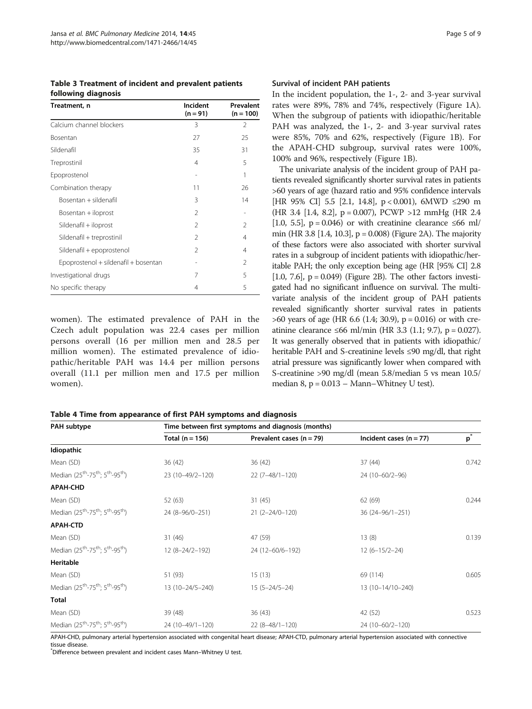<span id="page-4-0"></span>Table 3 Treatment of incident and prevalent patients following diagnosis

| Treatment, n                         | Incident<br>$(n = 91)$ | Prevalent<br>$(n = 100)$ |
|--------------------------------------|------------------------|--------------------------|
| Calcium channel blockers             | 3                      | 2                        |
| Bosentan                             | 27                     | 25                       |
| Sildenafil                           | 35                     | 31                       |
| Treprostinil                         | 4                      | 5                        |
| Epoprostenol                         |                        | 1                        |
| Combination therapy                  | 11                     | 26                       |
| Bosentan + sildenafil                | 3                      | 14                       |
| Bosentan + iloprost                  | 2                      |                          |
| Sildenafil + iloprost                | 2                      | 2                        |
| Sildenafil + treprostinil            | $\mathcal{P}$          | 4                        |
| Sildenafil + epoprostenol            | 2                      | 4                        |
| Epoprostenol + sildenafil + bosentan |                        | $\mathfrak{D}$           |
| Investigational drugs                | 7                      | 5                        |
| No specific therapy                  | 4                      | 5                        |

women). The estimated prevalence of PAH in the Czech adult population was 22.4 cases per million persons overall (16 per million men and 28.5 per million women). The estimated prevalence of idiopathic/heritable PAH was 14.4 per million persons overall (11.1 per million men and 17.5 per million women).

#### Survival of incident PAH patients

In the incident population, the 1-, 2- and 3-year survival rates were 89%, 78% and 74%, respectively (Figure [1](#page-5-0)A). When the subgroup of patients with idiopathic/heritable PAH was analyzed, the 1-, 2- and 3-year survival rates were 85%, 70% and 62%, respectively (Figure [1B](#page-5-0)). For the APAH-CHD subgroup, survival rates were 100%, 100% and 96%, respectively (Figure [1](#page-5-0)B).

The univariate analysis of the incident group of PAH patients revealed significantly shorter survival rates in patients >60 years of age (hazard ratio and 95% confidence intervals [HR 95% CI] 5.5 [2.1, 14.8], p < 0.001), 6MWD ≤290 m (HR 3.4 [1.4, 8.2],  $p = 0.007$ ), PCWP >12 mmHg (HR 2.4) [1.0, 5.5],  $p = 0.046$ ) or with creatinine clearance ≤66 ml/ min (HR 3.8 [1.4, 10.3],  $p = 0.008$ ) (Figure [2A](#page-6-0)). The majority of these factors were also associated with shorter survival rates in a subgroup of incident patients with idiopathic/heritable PAH; the only exception being age (HR [95% CI] 2.8 [1.0, 7.6],  $p = 0.049$ ) (Figure [2](#page-6-0)B). The other factors investigated had no significant influence on survival. The multivariate analysis of the incident group of PAH patients revealed significantly shorter survival rates in patients  $>60$  years of age (HR 6.6 (1.4; 30.9), p = 0.016) or with creatinine clearance ≤66 ml/min (HR 3.3 (1.1; 9.7), p = 0.027). It was generally observed that in patients with idiopathic/ heritable PAH and S-creatinine levels ≤90 mg/dl, that right atrial pressure was significantly lower when compared with S-creatinine >90 mg/dl (mean 5.8/median 5 vs mean 10.5/ median  $8$ ,  $p = 0.013 -$  Mann–Whitney U test).

|  | Table 4 Time from appearance of first PAH symptoms and diagnosis |  |  |
|--|------------------------------------------------------------------|--|--|
|--|------------------------------------------------------------------|--|--|

| PAH subtype                                                                      | Time between first symptoms and diagnosis (months) |                            |                           |                  |
|----------------------------------------------------------------------------------|----------------------------------------------------|----------------------------|---------------------------|------------------|
|                                                                                  | Total $(n = 156)$                                  | Prevalent cases $(n = 79)$ | Incident cases $(n = 77)$ | $\overline{p}^*$ |
| Idiopathic                                                                       |                                                    |                            |                           |                  |
| Mean (SD)                                                                        | 36(42)                                             | 36(42)                     | 37(44)                    | 0.742            |
| Median (25 <sup>th</sup> -75 <sup>th</sup> ; 5 <sup>th</sup> -95 <sup>th</sup> ) | 23 (10-49/2-120)                                   | $22(7-48/1-120)$           | 24 (10-60/2-96)           |                  |
| <b>APAH-CHD</b>                                                                  |                                                    |                            |                           |                  |
| Mean (SD)                                                                        | 52 (63)                                            | 31(45)                     | 62 (69)                   | 0.244            |
| Median (25 <sup>th</sup> -75 <sup>th</sup> ; 5 <sup>th</sup> -95 <sup>th</sup> ) | 24 (8-96/0-251)                                    | $21(2-24/0-120)$           | 36 (24-96/1-251)          |                  |
| <b>APAH-CTD</b>                                                                  |                                                    |                            |                           |                  |
| Mean (SD)                                                                        | 31 (46)                                            | 47 (59)                    | 13(8)                     | 0.139            |
| Median (25 <sup>th</sup> -75 <sup>th</sup> ; 5 <sup>th</sup> -95 <sup>th</sup> ) | 12 (8-24/2-192)                                    | 24 (12-60/6-192)           | $12(6-15/2-24)$           |                  |
| Heritable                                                                        |                                                    |                            |                           |                  |
| Mean (SD)                                                                        | 51 (93)                                            | 15(13)                     | 69 (114)                  | 0.605            |
| Median (25 <sup>th</sup> -75 <sup>th</sup> ; 5 <sup>th</sup> -95 <sup>th</sup> ) | 13 (10-24/5-240)                                   | $15(5 - 24/5 - 24)$        | 13 (10-14/10-240)         |                  |
| Total                                                                            |                                                    |                            |                           |                  |
| Mean (SD)                                                                        | 39 (48)                                            | 36(43)                     | 42 (52)                   | 0.523            |
| Median (25 <sup>th</sup> -75 <sup>th</sup> ; 5 <sup>th</sup> -95 <sup>th</sup> ) | 24 (10-49/1-120)                                   | $22(8-48/1-120)$           | 24 (10-60/2-120)          |                  |

APAH-CHD, pulmonary arterial hypertension associated with congenital heart disease; APAH-CTD, pulmonary arterial hypertension associated with connective tissue disease

\* Difference between prevalent and incident cases Mann–Whitney U test.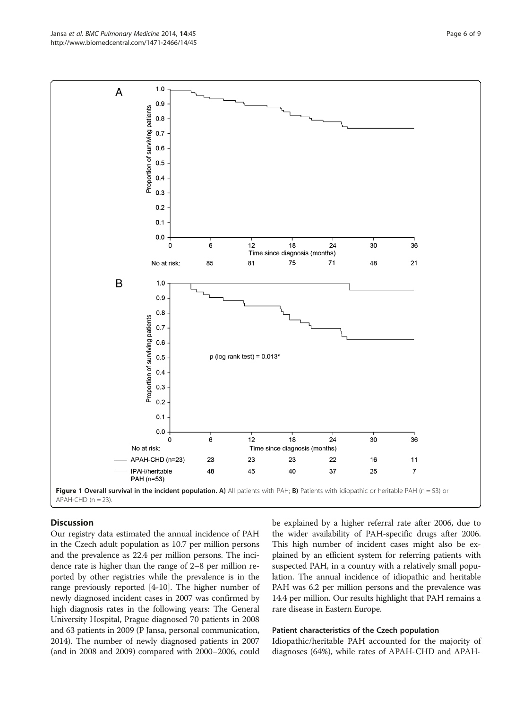<span id="page-5-0"></span>

# **Discussion**

Our registry data estimated the annual incidence of PAH in the Czech adult population as 10.7 per million persons and the prevalence as 22.4 per million persons. The incidence rate is higher than the range of 2–8 per million reported by other registries while the prevalence is in the range previously reported [[4-10](#page-8-0)]. The higher number of newly diagnosed incident cases in 2007 was confirmed by high diagnosis rates in the following years: The General University Hospital, Prague diagnosed 70 patients in 2008 and 63 patients in 2009 (P Jansa, personal communication, 2014). The number of newly diagnosed patients in 2007 (and in 2008 and 2009) compared with 2000–2006, could be explained by a higher referral rate after 2006, due to the wider availability of PAH-specific drugs after 2006. This high number of incident cases might also be explained by an efficient system for referring patients with suspected PAH, in a country with a relatively small population. The annual incidence of idiopathic and heritable PAH was 6.2 per million persons and the prevalence was 14.4 per million. Our results highlight that PAH remains a rare disease in Eastern Europe.

#### Patient characteristics of the Czech population

Idiopathic/heritable PAH accounted for the majority of diagnoses (64%), while rates of APAH-CHD and APAH-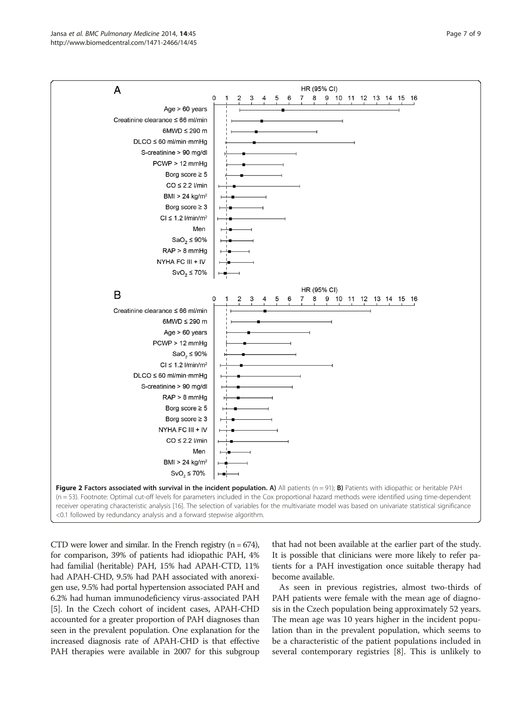<span id="page-6-0"></span>

CTD were lower and similar. In the French registry  $(n = 674)$ , for comparison, 39% of patients had idiopathic PAH, 4% had familial (heritable) PAH, 15% had APAH-CTD, 11% had APAH-CHD, 9.5% had PAH associated with anorexigen use, 9.5% had portal hypertension associated PAH and 6.2% had human immunodeficiency virus-associated PAH [[5\]](#page-8-0). In the Czech cohort of incident cases, APAH-CHD accounted for a greater proportion of PAH diagnoses than seen in the prevalent population. One explanation for the increased diagnosis rate of APAH-CHD is that effective PAH therapies were available in 2007 for this subgroup that had not been available at the earlier part of the study. It is possible that clinicians were more likely to refer patients for a PAH investigation once suitable therapy had become available.

As seen in previous registries, almost two-thirds of PAH patients were female with the mean age of diagnosis in the Czech population being approximately 52 years. The mean age was 10 years higher in the incident population than in the prevalent population, which seems to be a characteristic of the patient populations included in several contemporary registries [\[8](#page-8-0)]. This is unlikely to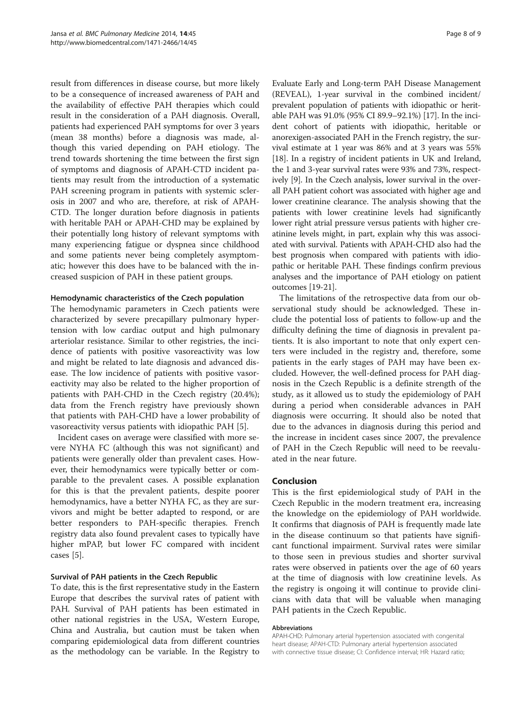result from differences in disease course, but more likely to be a consequence of increased awareness of PAH and the availability of effective PAH therapies which could result in the consideration of a PAH diagnosis. Overall, patients had experienced PAH symptoms for over 3 years (mean 38 months) before a diagnosis was made, although this varied depending on PAH etiology. The trend towards shortening the time between the first sign of symptoms and diagnosis of APAH-CTD incident patients may result from the introduction of a systematic PAH screening program in patients with systemic sclerosis in 2007 and who are, therefore, at risk of APAH-CTD. The longer duration before diagnosis in patients with heritable PAH or APAH-CHD may be explained by their potentially long history of relevant symptoms with many experiencing fatigue or dyspnea since childhood and some patients never being completely asymptomatic; however this does have to be balanced with the increased suspicion of PAH in these patient groups.

## Hemodynamic characteristics of the Czech population

The hemodynamic parameters in Czech patients were characterized by severe precapillary pulmonary hypertension with low cardiac output and high pulmonary arteriolar resistance. Similar to other registries, the incidence of patients with positive vasoreactivity was low and might be related to late diagnosis and advanced disease. The low incidence of patients with positive vasoreactivity may also be related to the higher proportion of patients with PAH-CHD in the Czech registry (20.4%); data from the French registry have previously shown that patients with PAH-CHD have a lower probability of vasoreactivity versus patients with idiopathic PAH [\[5](#page-8-0)].

Incident cases on average were classified with more severe NYHA FC (although this was not significant) and patients were generally older than prevalent cases. However, their hemodynamics were typically better or comparable to the prevalent cases. A possible explanation for this is that the prevalent patients, despite poorer hemodynamics, have a better NYHA FC, as they are survivors and might be better adapted to respond, or are better responders to PAH-specific therapies. French registry data also found prevalent cases to typically have higher mPAP, but lower FC compared with incident cases [[5\]](#page-8-0).

# Survival of PAH patients in the Czech Republic

To date, this is the first representative study in the Eastern Europe that describes the survival rates of patient with PAH. Survival of PAH patients has been estimated in other national registries in the USA, Western Europe, China and Australia, but caution must be taken when comparing epidemiological data from different countries as the methodology can be variable. In the Registry to Evaluate Early and Long-term PAH Disease Management (REVEAL), 1-year survival in the combined incident/ prevalent population of patients with idiopathic or heritable PAH was 91.0% (95% CI 89.9–92.1%) [\[17\]](#page-8-0). In the incident cohort of patients with idiopathic, heritable or anorexigen-associated PAH in the French registry, the survival estimate at 1 year was 86% and at 3 years was 55% [[18](#page-8-0)]. In a registry of incident patients in UK and Ireland, the 1 and 3-year survival rates were 93% and 73%, respectively [[9\]](#page-8-0). In the Czech analysis, lower survival in the overall PAH patient cohort was associated with higher age and lower creatinine clearance. The analysis showing that the patients with lower creatinine levels had significantly lower right atrial pressure versus patients with higher creatinine levels might, in part, explain why this was associated with survival. Patients with APAH-CHD also had the best prognosis when compared with patients with idiopathic or heritable PAH. These findings confirm previous analyses and the importance of PAH etiology on patient outcomes [\[19-21\]](#page-8-0).

The limitations of the retrospective data from our observational study should be acknowledged. These include the potential loss of patients to follow-up and the difficulty defining the time of diagnosis in prevalent patients. It is also important to note that only expert centers were included in the registry and, therefore, some patients in the early stages of PAH may have been excluded. However, the well-defined process for PAH diagnosis in the Czech Republic is a definite strength of the study, as it allowed us to study the epidemiology of PAH during a period when considerable advances in PAH diagnosis were occurring. It should also be noted that due to the advances in diagnosis during this period and the increase in incident cases since 2007, the prevalence of PAH in the Czech Republic will need to be reevaluated in the near future.

# Conclusion

This is the first epidemiological study of PAH in the Czech Republic in the modern treatment era, increasing the knowledge on the epidemiology of PAH worldwide. It confirms that diagnosis of PAH is frequently made late in the disease continuum so that patients have significant functional impairment. Survival rates were similar to those seen in previous studies and shorter survival rates were observed in patients over the age of 60 years at the time of diagnosis with low creatinine levels. As the registry is ongoing it will continue to provide clinicians with data that will be valuable when managing PAH patients in the Czech Republic.

#### Abbreviations

APAH-CHD: Pulmonary arterial hypertension associated with congenital heart disease; APAH-CTD: Pulmonary arterial hypertension associated with connective tissue disease; CI: Confidence interval; HR: Hazard ratio;